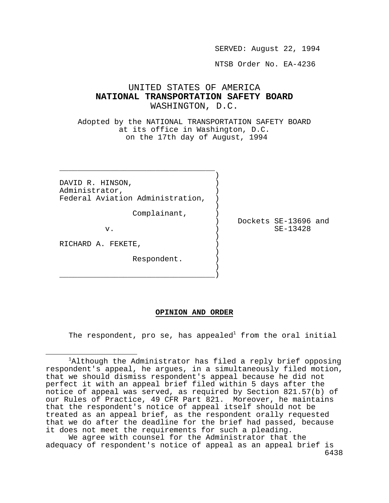SERVED: August 22, 1994

NTSB Order No. EA-4236

# UNITED STATES OF AMERICA **NATIONAL TRANSPORTATION SAFETY BOARD** WASHINGTON, D.C.

Adopted by the NATIONAL TRANSPORTATION SAFETY BOARD at its office in Washington, D.C. on the 17th day of August, 1994

DAVID R. HINSON, Administrator, ) Federal Aviation Administration,

) and the contract of  $\mathcal{L}$ 

) and the contract of  $\mathcal{L}$ 

) and the contract of  $\mathcal{L}$ 

) and the contract of  $\mathcal{L}$ \_\_\_\_\_\_\_\_\_\_\_\_\_\_\_\_\_\_\_\_\_\_\_\_\_\_\_\_\_\_\_\_\_\_)

 \_\_\_\_\_\_\_\_\_\_\_\_\_\_\_\_\_\_\_\_\_\_\_\_\_\_\_\_\_\_\_\_\_\_ ) and the contract of  $\mathcal{L}$ 

Complainant, )

 ) Dockets SE-13696 and v. ) SE-13428

RICHARD A. FEKETE,

Respondent. )

#### **OPINION AND ORDER**

The respondent, pro se, has appealed<sup>1</sup> from the oral initial

6438 We agree with counsel for the Administrator that the adequacy of respondent's notice of appeal as an appeal brief is

i <sup>1</sup>Although the Administrator has filed a reply brief opposing respondent's appeal, he argues, in a simultaneously filed motion, that we should dismiss respondent's appeal because he did not perfect it with an appeal brief filed within 5 days after the notice of appeal was served, as required by Section 821.57(b) of our Rules of Practice, 49 CFR Part 821. Moreover, he maintains that the respondent's notice of appeal itself should not be treated as an appeal brief, as the respondent orally requested that we do after the deadline for the brief had passed, because it does not meet the requirements for such a pleading.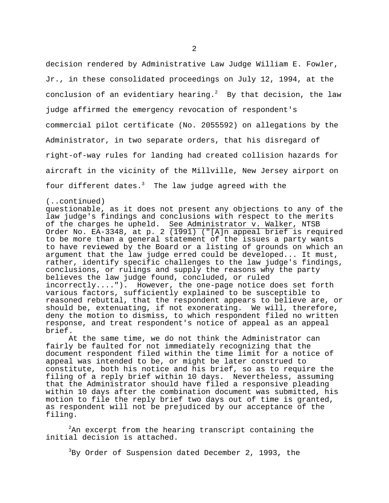decision rendered by Administrative Law Judge William E. Fowler, Jr., in these consolidated proceedings on July 12, 1994, at the conclusion of an evidentiary hearing.<sup>2</sup> By that decision, the law judge affirmed the emergency revocation of respondent's commercial pilot certificate (No. 2055592) on allegations by the Administrator, in two separate orders, that his disregard of right-of-way rules for landing had created collision hazards for aircraft in the vicinity of the Millville, New Jersey airport on four different dates. $3$  The law judge agreed with the

#### (..continued)

questionable, as it does not present any objections to any of the law judge's findings and conclusions with respect to the merits of the charges he upheld. See Administrator v. Walker, NTSB Order No. EA-3348, at p. 2  $\overline{(1991)}$  ("[A]n appeal brief is required to be more than a general statement of the issues a party wants to have reviewed by the Board or a listing of grounds on which an argument that the law judge erred could be developed... It must, rather, identify specific challenges to the law judge's findings, conclusions, or rulings and supply the reasons why the party believes the law judge found, concluded, or ruled incorrectly...."). However, the one-page notice does set forth various factors, sufficiently explained to be susceptible to reasoned rebuttal, that the respondent appears to believe are, or should be, extenuating, if not exonerating. We will, therefore, deny the motion to dismiss, to which respondent filed no written response, and treat respondent's notice of appeal as an appeal brief.

At the same time, we do not think the Administrator can fairly be faulted for not immediately recognizing that the document respondent filed within the time limit for a notice of appeal was intended to be, or might be later construed to constitute, both his notice and his brief, so as to require the filing of a reply brief within 10 days. Nevertheless, assuming that the Administrator should have filed a responsive pleading within 10 days after the combination document was submitted, his motion to file the reply brief two days out of time is granted, as respondent will not be prejudiced by our acceptance of the filing.

 ${}^{2}$ An excerpt from the hearing transcript containing the initial decision is attached.

<sup>3</sup>By Order of Suspension dated December 2, 1993, the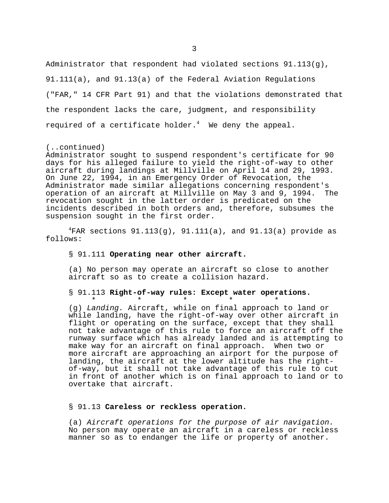Administrator that respondent had violated sections 91.113(g), 91.111(a), and 91.13(a) of the Federal Aviation Regulations ("FAR," 14 CFR Part 91) and that the violations demonstrated that the respondent lacks the care, judgment, and responsibility required of a certificate holder. $4$  We deny the appeal.

## (..continued)

Administrator sought to suspend respondent's certificate for 90 days for his alleged failure to yield the right-of-way to other aircraft during landings at Millville on April 14 and 29, 1993. On June 22, 1994, in an Emergency Order of Revocation, the Administrator made similar allegations concerning respondent's operation of an aircraft at Millville on May 3 and 9, 1994. The revocation sought in the latter order is predicated on the incidents described in both orders and, therefore, subsumes the suspension sought in the first order.

 ${}^{4}$ FAR sections 91.113(g), 91.111(a), and 91.13(a) provide as follows:

#### § 91.111 **Operating near other aircraft.**

(a) No person may operate an aircraft so close to another aircraft so as to create a collision hazard.

# § 91.113 **Right-of-way rules: Except water operations.**

 $\star$   $\star$   $\star$   $\star$   $\star$   $\star$ (g) *Landing.* Aircraft, while on final approach to land or while landing, have the right-of-way over other aircraft in flight or operating on the surface, except that they shall not take advantage of this rule to force an aircraft off the runway surface which has already landed and is attempting to make way for an aircraft on final approach. When two or more aircraft are approaching an airport for the purpose of landing, the aircraft at the lower altitude has the rightof-way, but it shall not take advantage of this rule to cut in front of another which is on final approach to land or to overtake that aircraft.

#### § 91.13 **Careless or reckless operation.**

(a) *Aircraft operations for the purpose of air navigation.*  No person may operate an aircraft in a careless or reckless manner so as to endanger the life or property of another.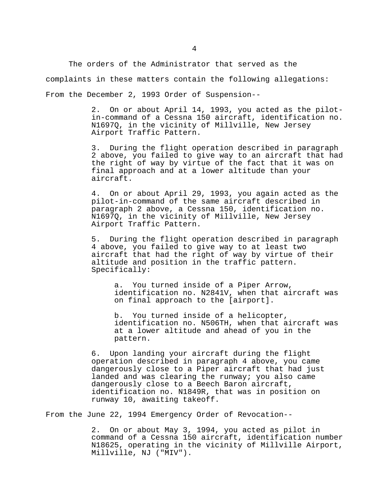The orders of the Administrator that served as the complaints in these matters contain the following allegations: From the December 2, 1993 Order of Suspension--

> 2. On or about April 14, 1993, you acted as the pilotin-command of a Cessna 150 aircraft, identification no. N1697Q, in the vicinity of Millville, New Jersey Airport Traffic Pattern.

> 3. During the flight operation described in paragraph 2 above, you failed to give way to an aircraft that had the right of way by virtue of the fact that it was on final approach and at a lower altitude than your aircraft.

4. On or about April 29, 1993, you again acted as the pilot-in-command of the same aircraft described in paragraph 2 above, a Cessna 150, identification no. N1697Q, in the vicinity of Millville, New Jersey Airport Traffic Pattern.

5. During the flight operation described in paragraph 4 above, you failed to give way to at least two aircraft that had the right of way by virtue of their altitude and position in the traffic pattern. Specifically:

 a. You turned inside of a Piper Arrow, identification no. N2841V, when that aircraft was on final approach to the [airport].

 b. You turned inside of a helicopter, identification no. N506TH, when that aircraft was at a lower altitude and ahead of you in the pattern.

6. Upon landing your aircraft during the flight operation described in paragraph 4 above, you came dangerously close to a Piper aircraft that had just landed and was clearing the runway; you also came dangerously close to a Beech Baron aircraft, identification no. N1849R, that was in position on runway 10, awaiting takeoff.

From the June 22, 1994 Emergency Order of Revocation--

2. On or about May 3, 1994, you acted as pilot in command of a Cessna 150 aircraft, identification number N18625, operating in the vicinity of Millville Airport, Millville, NJ ("MIV").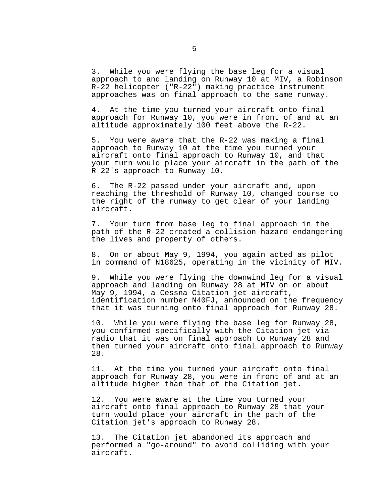3. While you were flying the base leg for a visual approach to and landing on Runway 10 at MIV, a Robinson R-22 helicopter ("R-22") making practice instrument approaches was on final approach to the same runway.

4. At the time you turned your aircraft onto final approach for Runway 10, you were in front of and at an altitude approximately 100 feet above the R-22.

5. You were aware that the R-22 was making a final approach to Runway 10 at the time you turned your aircraft onto final approach to Runway 10, and that your turn would place your aircraft in the path of the R-22's approach to Runway 10.

6. The R-22 passed under your aircraft and, upon reaching the threshold of Runway 10, changed course to the right of the runway to get clear of your landing aircraft.

7. Your turn from base leg to final approach in the path of the R-22 created a collision hazard endangering the lives and property of others.

8. On or about May 9, 1994, you again acted as pilot in command of N18625, operating in the vicinity of MIV.

9. While you were flying the downwind leg for a visual approach and landing on Runway 28 at MIV on or about May 9, 1994, a Cessna Citation jet aircraft, identification number N40FJ, announced on the frequency that it was turning onto final approach for Runway 28.

 10. While you were flying the base leg for Runway 28, you confirmed specifically with the Citation jet via radio that it was on final approach to Runway 28 and then turned your aircraft onto final approach to Runway 28.

 11. At the time you turned your aircraft onto final approach for Runway 28, you were in front of and at an altitude higher than that of the Citation jet.

 12. You were aware at the time you turned your aircraft onto final approach to Runway 28 that your turn would place your aircraft in the path of the Citation jet's approach to Runway 28.

 13. The Citation jet abandoned its approach and performed a "go-around" to avoid colliding with your aircraft.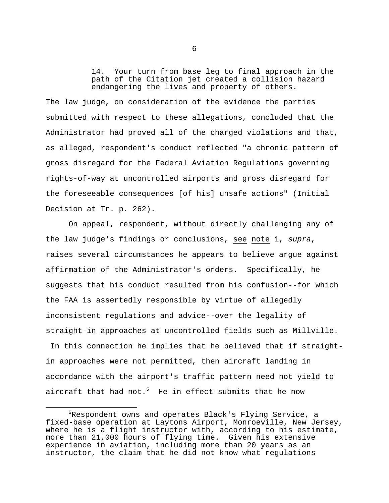14. Your turn from base leg to final approach in the path of the Citation jet created a collision hazard endangering the lives and property of others.

The law judge, on consideration of the evidence the parties submitted with respect to these allegations, concluded that the Administrator had proved all of the charged violations and that, as alleged, respondent's conduct reflected "a chronic pattern of gross disregard for the Federal Aviation Regulations governing rights-of-way at uncontrolled airports and gross disregard for the foreseeable consequences [of his] unsafe actions" (Initial Decision at Tr. p. 262).

On appeal, respondent, without directly challenging any of the law judge's findings or conclusions, see note 1, *supra*, raises several circumstances he appears to believe argue against affirmation of the Administrator's orders. Specifically, he suggests that his conduct resulted from his confusion--for which the FAA is assertedly responsible by virtue of allegedly inconsistent regulations and advice--over the legality of straight-in approaches at uncontrolled fields such as Millville. In this connection he implies that he believed that if straightin approaches were not permitted, then aircraft landing in accordance with the airport's traffic pattern need not yield to aircraft that had not.<sup>5</sup> He in effect submits that he now

i

<sup>&</sup>lt;sup>5</sup>Respondent owns and operates Black's Flying Service, a fixed-base operation at Laytons Airport, Monroeville, New Jersey, where he is a flight instructor with, according to his estimate, more than 21,000 hours of flying time. Given his extensive experience in aviation, including more than 20 years as an instructor, the claim that he did not know what regulations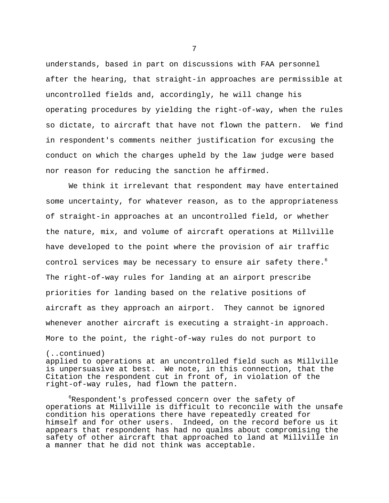understands, based in part on discussions with FAA personnel after the hearing, that straight-in approaches are permissible at uncontrolled fields and, accordingly, he will change his operating procedures by yielding the right-of-way, when the rules so dictate, to aircraft that have not flown the pattern. We find in respondent's comments neither justification for excusing the conduct on which the charges upheld by the law judge were based nor reason for reducing the sanction he affirmed.

We think it irrelevant that respondent may have entertained some uncertainty, for whatever reason, as to the appropriateness of straight-in approaches at an uncontrolled field, or whether the nature, mix, and volume of aircraft operations at Millville have developed to the point where the provision of air traffic control services may be necessary to ensure air safety there.<sup>6</sup> The right-of-way rules for landing at an airport prescribe priorities for landing based on the relative positions of aircraft as they approach an airport. They cannot be ignored whenever another aircraft is executing a straight-in approach. More to the point, the right-of-way rules do not purport to

(..continued) applied to operations at an uncontrolled field such as Millville is unpersuasive at best. We note, in this connection, that the Citation the respondent cut in front of, in violation of the right-of-way rules, had flown the pattern.

<sup>6</sup>Respondent's professed concern over the safety of operations at Millville is difficult to reconcile with the unsafe condition his operations there have repeatedly created for himself and for other users. Indeed, on the record before us it appears that respondent has had no qualms about compromising the safety of other aircraft that approached to land at Millville in a manner that he did not think was acceptable.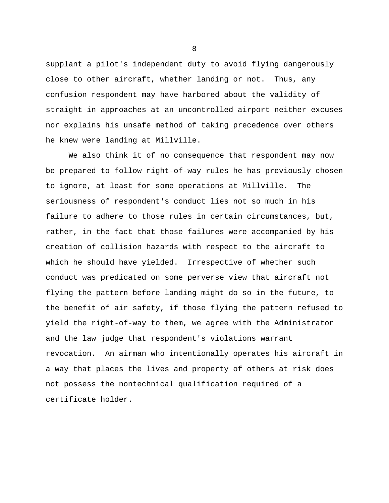supplant a pilot's independent duty to avoid flying dangerously close to other aircraft, whether landing or not. Thus, any confusion respondent may have harbored about the validity of straight-in approaches at an uncontrolled airport neither excuses nor explains his unsafe method of taking precedence over others he knew were landing at Millville.

We also think it of no consequence that respondent may now be prepared to follow right-of-way rules he has previously chosen to ignore, at least for some operations at Millville. The seriousness of respondent's conduct lies not so much in his failure to adhere to those rules in certain circumstances, but, rather, in the fact that those failures were accompanied by his creation of collision hazards with respect to the aircraft to which he should have yielded. Irrespective of whether such conduct was predicated on some perverse view that aircraft not flying the pattern before landing might do so in the future, to the benefit of air safety, if those flying the pattern refused to yield the right-of-way to them, we agree with the Administrator and the law judge that respondent's violations warrant revocation. An airman who intentionally operates his aircraft in a way that places the lives and property of others at risk does not possess the nontechnical qualification required of a certificate holder.